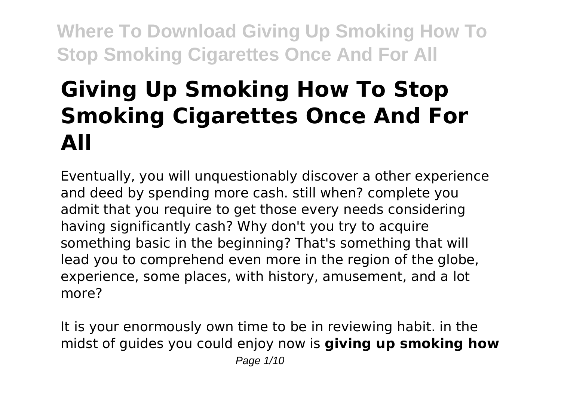# **Giving Up Smoking How To Stop Smoking Cigarettes Once And For All**

Eventually, you will unquestionably discover a other experience and deed by spending more cash. still when? complete you admit that you require to get those every needs considering having significantly cash? Why don't you try to acquire something basic in the beginning? That's something that will lead you to comprehend even more in the region of the globe, experience, some places, with history, amusement, and a lot more?

It is your enormously own time to be in reviewing habit. in the midst of guides you could enjoy now is **giving up smoking how**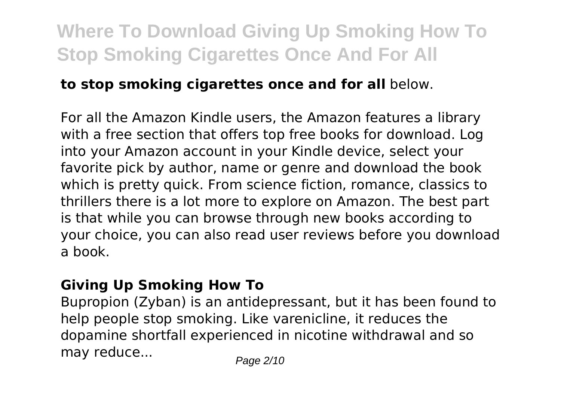### **to stop smoking cigarettes once and for all** below.

For all the Amazon Kindle users, the Amazon features a library with a free section that offers top free books for download. Log into your Amazon account in your Kindle device, select your favorite pick by author, name or genre and download the book which is pretty quick. From science fiction, romance, classics to thrillers there is a lot more to explore on Amazon. The best part is that while you can browse through new books according to your choice, you can also read user reviews before you download a book.

#### **Giving Up Smoking How To**

Bupropion (Zyban) is an antidepressant, but it has been found to help people stop smoking. Like varenicline, it reduces the dopamine shortfall experienced in nicotine withdrawal and so may reduce... Page 2/10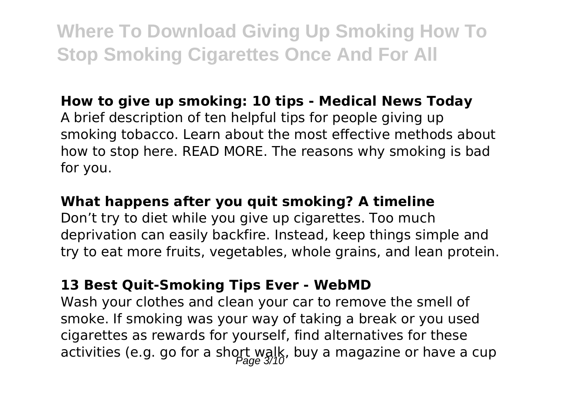### **How to give up smoking: 10 tips - Medical News Today**

A brief description of ten helpful tips for people giving up smoking tobacco. Learn about the most effective methods about how to stop here. READ MORE. The reasons why smoking is bad for you.

#### **What happens after you quit smoking? A timeline**

Don't try to diet while you give up cigarettes. Too much deprivation can easily backfire. Instead, keep things simple and try to eat more fruits, vegetables, whole grains, and lean protein.

#### **13 Best Quit-Smoking Tips Ever - WebMD**

Wash your clothes and clean your car to remove the smell of smoke. If smoking was your way of taking a break or you used cigarettes as rewards for yourself, find alternatives for these activities (e.g. go for a short walk, buy a magazine or have a cup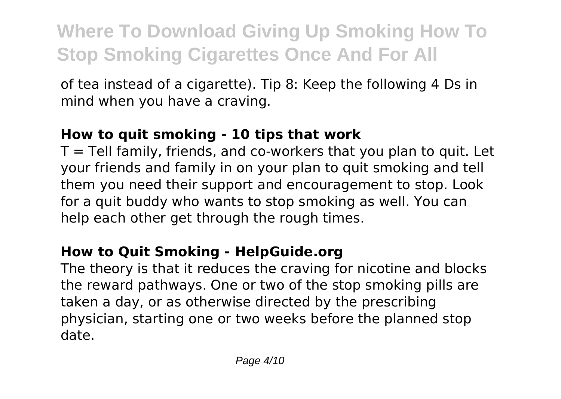of tea instead of a cigarette). Tip 8: Keep the following 4 Ds in mind when you have a craving.

### **How to quit smoking - 10 tips that work**

 $T =$  Tell family, friends, and co-workers that you plan to quit. Let your friends and family in on your plan to quit smoking and tell them you need their support and encouragement to stop. Look for a quit buddy who wants to stop smoking as well. You can help each other get through the rough times.

### **How to Quit Smoking - HelpGuide.org**

The theory is that it reduces the craving for nicotine and blocks the reward pathways. One or two of the stop smoking pills are taken a day, or as otherwise directed by the prescribing physician, starting one or two weeks before the planned stop date.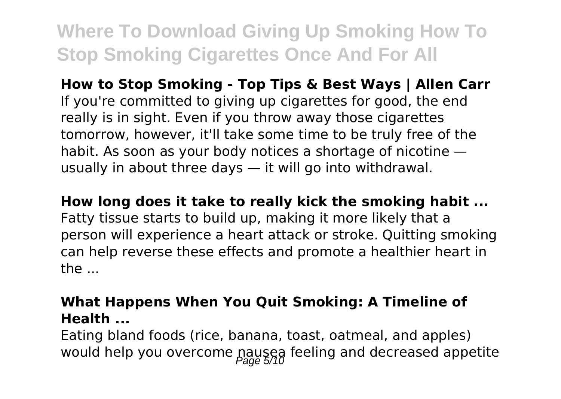**How to Stop Smoking - Top Tips & Best Ways | Allen Carr** If you're committed to giving up cigarettes for good, the end really is in sight. Even if you throw away those cigarettes tomorrow, however, it'll take some time to be truly free of the habit. As soon as your body notices a shortage of nicotine usually in about three days — it will go into withdrawal.

**How long does it take to really kick the smoking habit ...**

Fatty tissue starts to build up, making it more likely that a person will experience a heart attack or stroke. Quitting smoking can help reverse these effects and promote a healthier heart in  $the...$ 

### **What Happens When You Quit Smoking: A Timeline of Health ...**

Eating bland foods (rice, banana, toast, oatmeal, and apples) would help you overcome pausea feeling and decreased appetite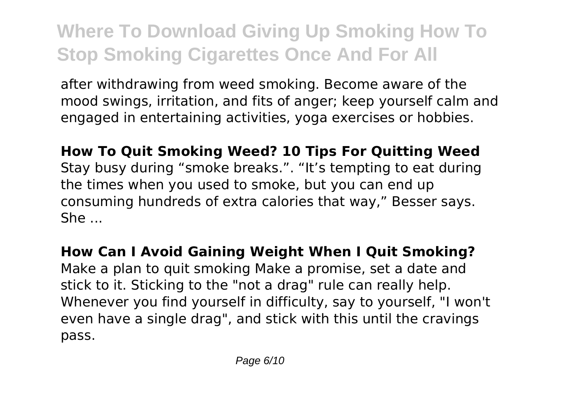after withdrawing from weed smoking. Become aware of the mood swings, irritation, and fits of anger; keep yourself calm and engaged in entertaining activities, yoga exercises or hobbies.

**How To Quit Smoking Weed? 10 Tips For Quitting Weed** Stay busy during "smoke breaks.". "It's tempting to eat during the times when you used to smoke, but you can end up consuming hundreds of extra calories that way," Besser says. She ...

**How Can I Avoid Gaining Weight When I Quit Smoking?** Make a plan to quit smoking Make a promise, set a date and stick to it. Sticking to the "not a drag" rule can really help. Whenever you find yourself in difficulty, say to yourself, "I won't even have a single drag", and stick with this until the cravings pass.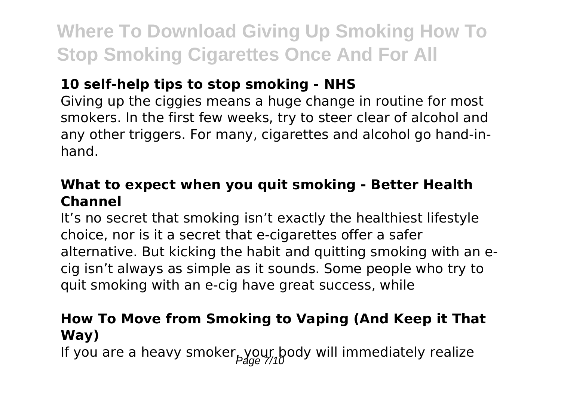### **10 self-help tips to stop smoking - NHS**

Giving up the ciggies means a huge change in routine for most smokers. In the first few weeks, try to steer clear of alcohol and any other triggers. For many, cigarettes and alcohol go hand-inhand.

#### **What to expect when you quit smoking - Better Health Channel**

It's no secret that smoking isn't exactly the healthiest lifestyle choice, nor is it a secret that e-cigarettes offer a safer alternative. But kicking the habit and quitting smoking with an ecig isn't always as simple as it sounds. Some people who try to quit smoking with an e-cig have great success, while

### **How To Move from Smoking to Vaping (And Keep it That Way)**

If you are a heavy smoker  $_{p,0}$ our body will immediately realize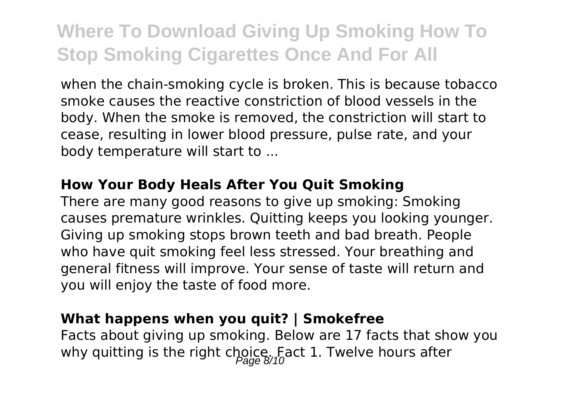when the chain-smoking cycle is broken. This is because tobacco smoke causes the reactive constriction of blood vessels in the body. When the smoke is removed, the constriction will start to cease, resulting in lower blood pressure, pulse rate, and your body temperature will start to ...

#### **How Your Body Heals After You Quit Smoking**

There are many good reasons to give up smoking: Smoking causes premature wrinkles. Quitting keeps you looking younger. Giving up smoking stops brown teeth and bad breath. People who have quit smoking feel less stressed. Your breathing and general fitness will improve. Your sense of taste will return and you will enjoy the taste of food more.

#### **What happens when you quit? | Smokefree**

Facts about giving up smoking. Below are 17 facts that show you why quitting is the right choice. Fact 1. Twelve hours after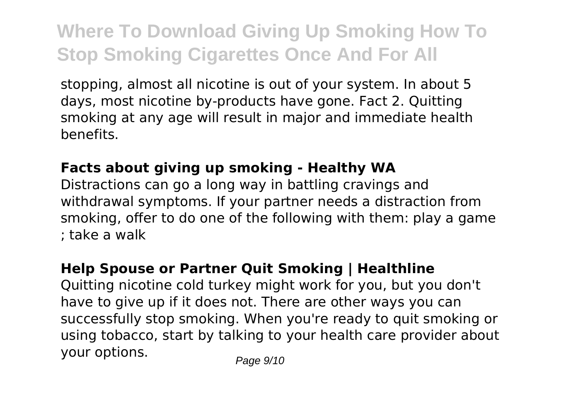stopping, almost all nicotine is out of your system. In about 5 days, most nicotine by-products have gone. Fact 2. Quitting smoking at any age will result in major and immediate health benefits.

### **Facts about giving up smoking - Healthy WA**

Distractions can go a long way in battling cravings and withdrawal symptoms. If your partner needs a distraction from smoking, offer to do one of the following with them: play a game ; take a walk

### **Help Spouse or Partner Quit Smoking | Healthline**

Quitting nicotine cold turkey might work for you, but you don't have to give up if it does not. There are other ways you can successfully stop smoking. When you're ready to quit smoking or using tobacco, start by talking to your health care provider about your options. Page 9/10